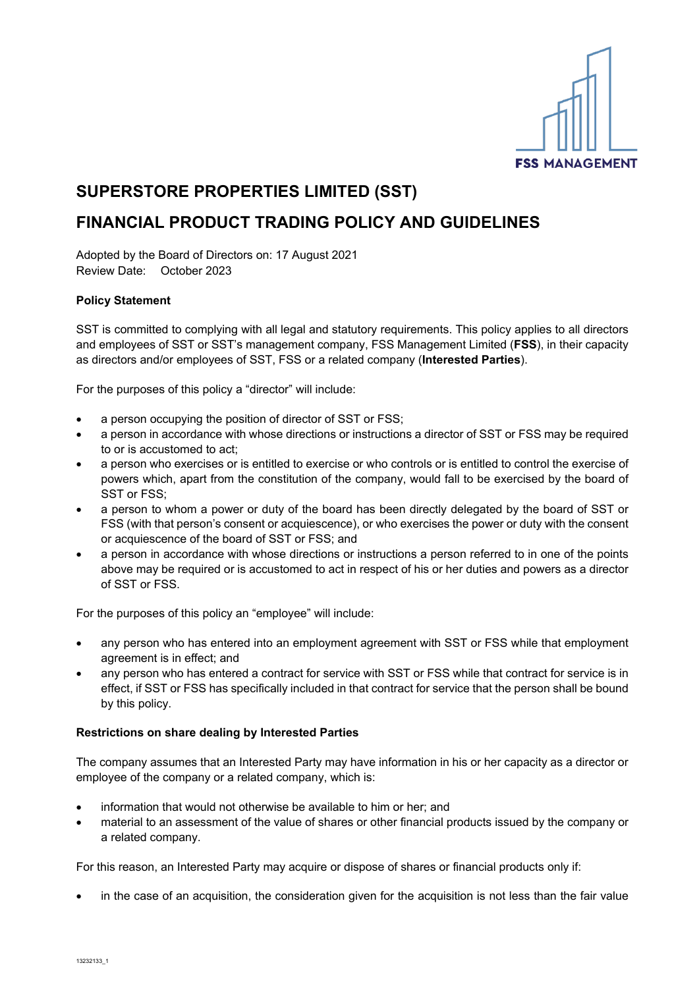

# **SUPERSTORE PROPERTIES LIMITED (SST)**

## **FINANCIAL PRODUCT TRADING POLICY AND GUIDELINES**

Adopted by the Board of Directors on: 17 August 2021 Review Date: October 2023

### **Policy Statement**

SST is committed to complying with all legal and statutory requirements. This policy applies to all directors and employees of SST or SST's management company, FSS Management Limited (**FSS**), in their capacity as directors and/or employees of SST, FSS or a related company (**Interested Parties**).

For the purposes of this policy a "director" will include:

- a person occupying the position of director of SST or FSS;
- a person in accordance with whose directions or instructions a director of SST or FSS may be required to or is accustomed to act;
- a person who exercises or is entitled to exercise or who controls or is entitled to control the exercise of powers which, apart from the constitution of the company, would fall to be exercised by the board of SST or FSS;
- a person to whom a power or duty of the board has been directly delegated by the board of SST or FSS (with that person's consent or acquiescence), or who exercises the power or duty with the consent or acquiescence of the board of SST or FSS; and
- a person in accordance with whose directions or instructions a person referred to in one of the points above may be required or is accustomed to act in respect of his or her duties and powers as a director of SST or FSS.

For the purposes of this policy an "employee" will include:

- any person who has entered into an employment agreement with SST or FSS while that employment agreement is in effect; and
- any person who has entered a contract for service with SST or FSS while that contract for service is in effect, if SST or FSS has specifically included in that contract for service that the person shall be bound by this policy.

#### **Restrictions on share dealing by Interested Parties**

The company assumes that an Interested Party may have information in his or her capacity as a director or employee of the company or a related company, which is:

- information that would not otherwise be available to him or her; and
- material to an assessment of the value of shares or other financial products issued by the company or a related company.

For this reason, an Interested Party may acquire or dispose of shares or financial products only if:

• in the case of an acquisition, the consideration given for the acquisition is not less than the fair value